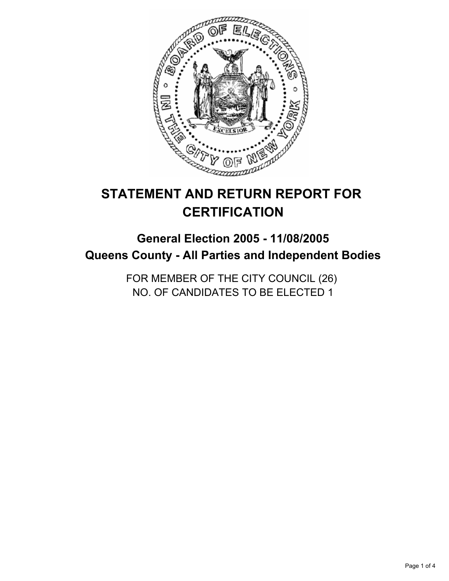

# **STATEMENT AND RETURN REPORT FOR CERTIFICATION**

# **General Election 2005 - 11/08/2005 Queens County - All Parties and Independent Bodies**

FOR MEMBER OF THE CITY COUNCIL (26) NO. OF CANDIDATES TO BE ELECTED 1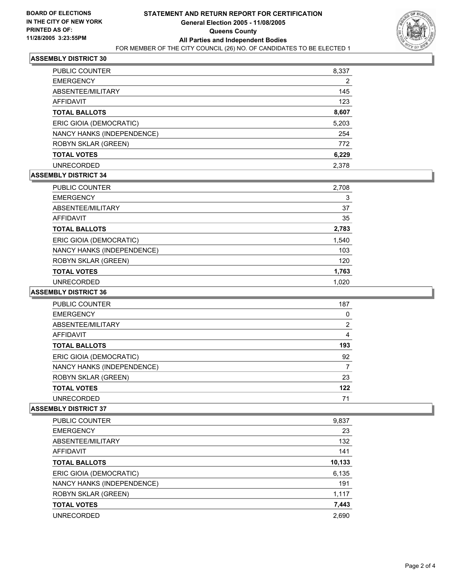

# **ASSEMBLY DISTRICT 30**

| PUBLIC COUNTER             | 8,337 |
|----------------------------|-------|
| <b>EMERGENCY</b>           | 2     |
| ABSENTEE/MILITARY          | 145   |
| AFFIDAVIT                  | 123   |
| <b>TOTAL BALLOTS</b>       | 8,607 |
| ERIC GIOIA (DEMOCRATIC)    | 5,203 |
| NANCY HANKS (INDEPENDENCE) | 254   |
| <b>ROBYN SKLAR (GREEN)</b> | 772   |
| <b>TOTAL VOTES</b>         | 6,229 |
| <b>UNRECORDED</b>          | 2.378 |

#### **ASSEMBLY DISTRICT 34**

| <b>PUBLIC COUNTER</b>      | 2,708 |
|----------------------------|-------|
| <b>EMERGENCY</b>           | 3     |
| ABSENTEE/MILITARY          | 37    |
| AFFIDAVIT                  | 35    |
| <b>TOTAL BALLOTS</b>       | 2,783 |
| ERIC GIOIA (DEMOCRATIC)    | 1,540 |
| NANCY HANKS (INDEPENDENCE) | 103   |
| <b>ROBYN SKLAR (GREEN)</b> | 120   |
| <b>TOTAL VOTES</b>         | 1,763 |
| <b>UNRECORDED</b>          | 1.020 |

### **ASSEMBLY DISTRICT 36**

| PUBLIC COUNTER             | 187 |  |
|----------------------------|-----|--|
| <b>EMERGENCY</b>           |     |  |
| ABSENTEE/MILITARY          | 2   |  |
| AFFIDAVIT                  |     |  |
| <b>TOTAL BALLOTS</b>       | 193 |  |
| ERIC GIOIA (DEMOCRATIC)    | 92  |  |
| NANCY HANKS (INDEPENDENCE) |     |  |
| ROBYN SKLAR (GREEN)        | 23  |  |
| <b>TOTAL VOTES</b>         | 122 |  |
| <b>UNRECORDED</b>          | 71  |  |

#### **ASSEMBLY DISTRICT 37**

| PUBLIC COUNTER             | 9,837  |
|----------------------------|--------|
| <b>EMERGENCY</b>           | 23     |
| ABSENTEE/MILITARY          | 132    |
| AFFIDAVIT                  | 141    |
| <b>TOTAL BALLOTS</b>       | 10,133 |
| ERIC GIOIA (DEMOCRATIC)    | 6,135  |
| NANCY HANKS (INDEPENDENCE) | 191    |
| <b>ROBYN SKLAR (GREEN)</b> | 1,117  |
| <b>TOTAL VOTES</b>         | 7,443  |
| <b>UNRECORDED</b>          | 2,690  |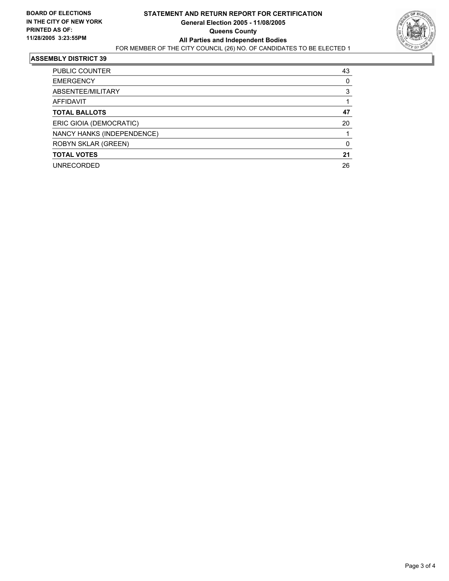

#### **ASSEMBLY DISTRICT 39**

| PUBLIC COUNTER             | 43 |  |
|----------------------------|----|--|
| <b>EMERGENCY</b>           |    |  |
| ABSENTEE/MILITARY          |    |  |
| AFFIDAVIT                  |    |  |
| <b>TOTAL BALLOTS</b>       | 47 |  |
| ERIC GIOIA (DEMOCRATIC)    | 20 |  |
| NANCY HANKS (INDEPENDENCE) |    |  |
| ROBYN SKLAR (GREEN)        |    |  |
| <b>TOTAL VOTES</b>         | 21 |  |
| <b>UNRECORDED</b>          | 26 |  |